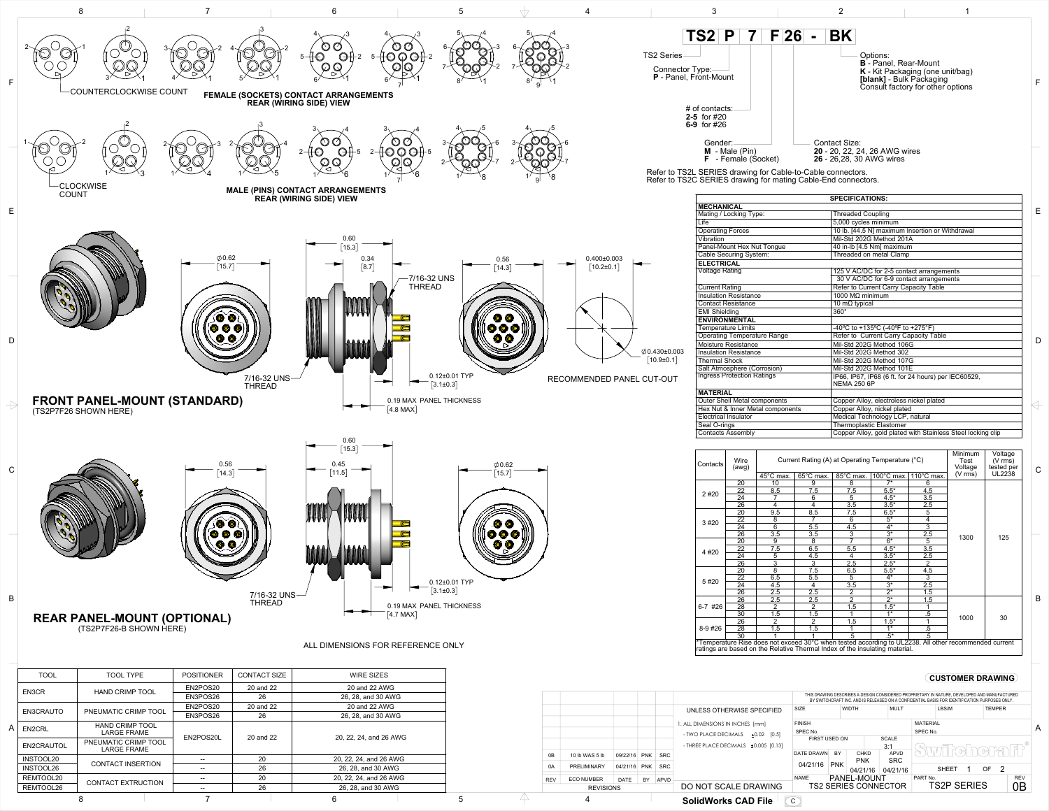|     |                   |             |            |            |                                           |               |            |                      |             | THIS DRAWING DESCRIBES A DESIGN CONSIDERED PROPRIETARY IN NATURE, DEVELOPED AND MANUFACTURED<br>BY SWITCHCRAFT INC. AND IS RELEASED ON A CONFIDENTIAL BASIS FOR IDENTIFICATION PURPOSES ONLY. |                    |  |               |   |            |                |
|-----|-------------------|-------------|------------|------------|-------------------------------------------|---------------|------------|----------------------|-------------|-----------------------------------------------------------------------------------------------------------------------------------------------------------------------------------------------|--------------------|--|---------------|---|------------|----------------|
|     |                   |             |            |            | UNLESS OTHERWISE SPECIFIED                | <b>SIZE</b>   |            | <b>WIDTH</b>         | <b>MULT</b> |                                                                                                                                                                                               | LBS/M              |  | <b>TEMPER</b> |   |            |                |
|     |                   |             |            |            | 1. ALL DIMENSIONS IN INCHES [mm]          | <b>FINISH</b> |            |                      |             | <b>MATERIAL</b>                                                                                                                                                                               |                    |  |               |   |            |                |
|     |                   |             |            |            | - TWO PLACE DECIMALS<br>$±0.02$ [0.5]     | SPEC No.      |            |                      |             | SPEC No.                                                                                                                                                                                      |                    |  |               |   |            | $\overline{A}$ |
|     |                   |             |            |            |                                           | FIRST USED ON |            |                      | SCALE       |                                                                                                                                                                                               |                    |  |               |   |            |                |
|     |                   |             |            |            | - THREE PLACE DECIMALS $\pm 0.005$ [0.13] |               |            |                      | 3:1         |                                                                                                                                                                                               |                    |  |               |   |            |                |
| 0B  | 10 lb WAS 5 lb    | 09/22/16    | <b>PNK</b> | <b>SRC</b> |                                           | DATE DRAWN    | <b>BY</b>  | <b>CHKD</b>          | <b>APVD</b> |                                                                                                                                                                                               | TH MA NA 72        |  |               |   |            |                |
|     |                   |             |            |            |                                           | 04/21/16      | <b>PNK</b> | <b>PNK</b>           | <b>SRC</b>  |                                                                                                                                                                                               |                    |  |               |   |            |                |
| 0A  | PRELIMINARY       | 04/21/16    | <b>PNK</b> | <b>SRC</b> |                                           |               |            | 04/21/16             | 04/21/16    |                                                                                                                                                                                               | <b>SHEET</b>       |  | <b>OF</b>     | 2 |            |                |
| REV | <b>ECO NUMBER</b> | <b>DATE</b> | BY         | APVD       |                                           | <b>NAME</b>   |            | <b>PANEL-MOUNT</b>   |             | PART No.                                                                                                                                                                                      |                    |  |               |   | <b>REV</b> |                |
|     | <b>REVISIONS</b>  |             |            |            | DO NOT SCALE DRAWING                      |               |            | TS2 SERIES CONNECTOR |             |                                                                                                                                                                                               | <b>TS2P SERIES</b> |  |               |   | 0B         |                |
|     | 4                 |             |            |            | <b>SolidWorks CAD File</b>                | $\mathsf{C}$  |            |                      |             |                                                                                                                                                                                               |                    |  |               |   |            |                |

| INSTOOL20              | <b>CONTACT INSERTION</b>  |       | 20       | 20, 22, 24, and 26 AWG                       | 0B<br>0A   | 10 lb W/<br>PRELIM |
|------------------------|---------------------------|-------|----------|----------------------------------------------|------------|--------------------|
| INSTOOL26<br>REMTOOL20 | <b>CONTACT EXTRUCTION</b> |       | 26<br>20 | 26, 28, and 30 AWG<br>20, 22, 24, and 26 AWG | <b>REV</b> | <b>ECO NUI</b>     |
| REMTOOL26              |                           | $- -$ | 26       | 26, 28, and 30 AWG                           |            |                    |



B

C

|                                     | SPECIFICATIONS:                                                           |   |
|-------------------------------------|---------------------------------------------------------------------------|---|
| <b>MECHANICAL</b>                   |                                                                           |   |
| Mating / Locking Type:              | <b>Threaded Coupling</b>                                                  | E |
| Life                                | 5,000 cycles minimum                                                      |   |
| <b>Operating Forces</b>             | 10 lb. [44.5 N] maximum Insertion or Withdrawal                           |   |
| Vibration                           | Mil-Std 202G Method 201A                                                  |   |
| Panel-Mount Hex Nut Tongue          | 40 in-lb [4.5 Nm] maximum                                                 |   |
| Cable Securing System:              | Threaded on metal Clamp                                                   |   |
| <b>ELECTRICAL</b>                   |                                                                           |   |
| <b>Voltage Rating</b>               | 125 V AC/DC for 2-5 contact arrangements                                  |   |
|                                     | 30 V AC/DC for 6-9 contact arrangements                                   |   |
| <b>Current Rating</b>               | Refer to Current Carry Capacity Table                                     |   |
| <b>Insulation Resistance</b>        | 1000 $MΩ$ minimum                                                         |   |
| <b>Contact Resistance</b>           | 10 m $\Omega$ typical                                                     |   |
| <b>EMI Shielding</b>                | $360^\circ$                                                               |   |
| <b>ENVIRONMENTAL</b>                |                                                                           |   |
| <b>Temperature Limits</b>           | -40°C to +135°C (-40°F to +275°F)                                         |   |
| <b>Operating Temperature Range</b>  | Refer to Current Carry Capacity Table                                     |   |
| <b>Moisture Resistance</b>          | Mil-Std 202G Method 106G                                                  | D |
| <b>Insulation Resistance</b>        | Mil-Std 202G Method 302                                                   |   |
| <b>Thermal Shock</b>                | Mil-Std 202G Method 107G                                                  |   |
| Salt Atmosphere (Corrosion)         | Mil-Std 202G Method 101E                                                  |   |
| <b>Ingress Protection Ratings</b>   | IP66, IP67, IP68 (6 ft. for 24 hours) per IEC60529,<br><b>NEMA 250 6P</b> |   |
| <b>MATERIAL</b>                     |                                                                           |   |
| <b>Outer Shell Metal components</b> | Copper Alloy, electroless nickel plated                                   |   |
| Hex Nut & Inner Metal components    | Copper Alloy, nickel plated                                               |   |
| <b>Electrical Insulator</b>         | Medical Technology LCP, natural                                           |   |
| Seal O-rings                        | <b>Thermoplastic Elastomer</b>                                            |   |
| <b>Contacts Assembly</b>            | Copper Alloy, gold plated with Stainless Steel locking clip               |   |

| Contacts                                                                                                                                                                             | Wire<br>(awg)   | Current Rating (A) at Operating Temperature (°C) |                     |                  |                  |                                           | Minimum<br>Test<br>Voltage | Voltage<br>$(V \text{ rms})$<br>tested per |  |
|--------------------------------------------------------------------------------------------------------------------------------------------------------------------------------------|-----------------|--------------------------------------------------|---------------------|------------------|------------------|-------------------------------------------|----------------------------|--------------------------------------------|--|
|                                                                                                                                                                                      |                 | $45^{\circ}$ C max.                              | $65^{\circ}$ C max. | 85°C max.        |                  | 100 $\degree$ C max. 110 $\degree$ C max. | $(V \, \text{rms})$        | UL2238                                     |  |
|                                                                                                                                                                                      | 20              | 10                                               | 9                   | 8                | $7*$             | 6                                         |                            |                                            |  |
| 2#20                                                                                                                                                                                 | 22              | 8.5                                              | 7.5                 | 7.5              | $5.5*$           | 4.5                                       |                            |                                            |  |
|                                                                                                                                                                                      | 24              |                                                  | 6                   | 5                | $4.5*$           | 3.5                                       |                            |                                            |  |
|                                                                                                                                                                                      | $\overline{26}$ | 4                                                | $\overline{4}$      | $\overline{3.5}$ | $3.5*$           | 2.5                                       |                            |                                            |  |
|                                                                                                                                                                                      | 20              | $9.\overline{5}$                                 | 8.5                 | 7.5              | $6.5*$           | 5                                         |                            |                                            |  |
| 3#20                                                                                                                                                                                 | 22              | 8                                                |                     | 6                | $5^*$            | 4                                         |                            |                                            |  |
|                                                                                                                                                                                      | $\overline{24}$ | 6                                                | 5.5                 | 4.5              | $4*$             | $\overline{3}$                            | 1300                       |                                            |  |
|                                                                                                                                                                                      | 26              | 3.5                                              | 3.5                 | 3                | $3^*$            | 2.5                                       |                            | 125                                        |  |
|                                                                                                                                                                                      | $\overline{20}$ | 9                                                | $\overline{8}$      | 7                | $6*$             | $\overline{5}$                            |                            |                                            |  |
| 4#20                                                                                                                                                                                 | 22              | 7.5                                              | 6.5                 | 5.5              | $4.5*$           | 3.5                                       |                            |                                            |  |
|                                                                                                                                                                                      | $\overline{24}$ | 5                                                | 4.5                 | 4                | $3.5*$           | 2.5                                       |                            |                                            |  |
|                                                                                                                                                                                      | $\overline{26}$ | $\overline{3}$                                   | $\overline{3}$      | $\overline{2.5}$ | $2.5*$           | $\overline{2}$                            |                            |                                            |  |
|                                                                                                                                                                                      | $\overline{20}$ | $\overline{8}$                                   | 7.5                 | 6.5              | $5.5*$           | 4.5                                       |                            |                                            |  |
| 5#20                                                                                                                                                                                 | 22              | 6.5                                              | 5.5                 | $\overline{5}$   | $4*$             | $\overline{3}$                            |                            |                                            |  |
|                                                                                                                                                                                      | $\overline{24}$ | 4.5                                              | 4                   | 3.5              | $\overline{3^*}$ | 2.5                                       |                            |                                            |  |
|                                                                                                                                                                                      | $\overline{26}$ | $\overline{2.5}$                                 | $\overline{2.5}$    | $\overline{2}$   | $2*$             | 1.5                                       |                            |                                            |  |
|                                                                                                                                                                                      | 26              | 2.5                                              | 2.5                 | $\overline{2}$   | $\overline{2^*}$ | 1.5                                       |                            |                                            |  |
| 6-7 #26                                                                                                                                                                              | $\overline{28}$ | $\overline{2}$                                   | $\overline{2}$      | 1.5              | $1.5*$           |                                           |                            |                                            |  |
|                                                                                                                                                                                      | 30              | 1.5                                              | 1.5                 |                  | $\overline{1*}$  | $.5\,$                                    | 1000                       | 30                                         |  |
|                                                                                                                                                                                      | 26              | $\overline{2}$                                   | $\overline{2}$      | 1.5              | $1.5*$           |                                           |                            |                                            |  |
| 8-9#26                                                                                                                                                                               | 28              | 1.5                                              | 1.5                 |                  | $1^*$            | .5                                        |                            |                                            |  |
|                                                                                                                                                                                      | 30              |                                                  |                     | $\overline{.5}$  | $.5^*$           | $\overline{.5}$                           |                            |                                            |  |
| *Temperature Rise does not exceed 30°C when tested according to UL2238. All other recommended current<br>ratings are based on the Relative Thermal Index of the insulating material. |                 |                                                  |                     |                  |                  |                                           |                            |                                            |  |
|                                                                                                                                                                                      |                 |                                                  |                     |                  |                  |                                           |                            |                                            |  |

F